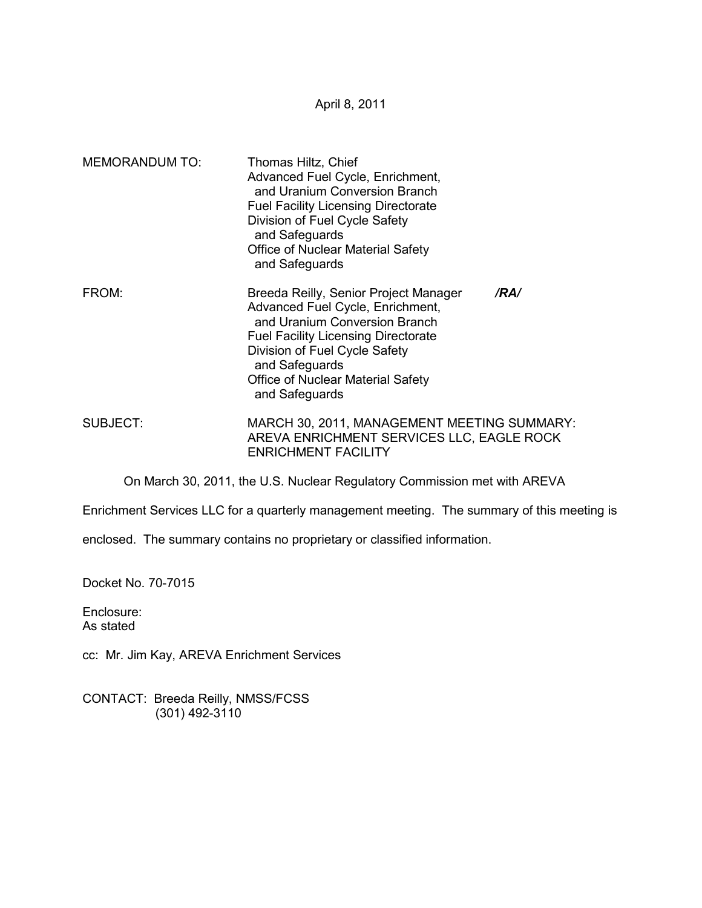April 8, 2011

| <b>MEMORANDUM TO:</b> | Thomas Hiltz, Chief<br>Advanced Fuel Cycle, Enrichment,<br>and Uranium Conversion Branch<br><b>Fuel Facility Licensing Directorate</b><br>Division of Fuel Cycle Safety<br>and Safeguards<br>Office of Nuclear Material Safety<br>and Safeguards                   |      |
|-----------------------|--------------------------------------------------------------------------------------------------------------------------------------------------------------------------------------------------------------------------------------------------------------------|------|
| FROM:                 | Breeda Reilly, Senior Project Manager<br>Advanced Fuel Cycle, Enrichment,<br>and Uranium Conversion Branch<br><b>Fuel Facility Licensing Directorate</b><br>Division of Fuel Cycle Safety<br>and Safeguards<br>Office of Nuclear Material Safety<br>and Safeguards | /RA/ |
| SUBJECT:              | MARCH 30, 2011, MANAGEMENT MEETING SUMMARY:<br>AREVA ENRICHMENT SERVICES LLC, EAGLE ROCK<br><b>ENRICHMENT FACILITY</b>                                                                                                                                             |      |

On March 30, 2011, the U.S. Nuclear Regulatory Commission met with AREVA

Enrichment Services LLC for a quarterly management meeting. The summary of this meeting is

enclosed. The summary contains no proprietary or classified information.

Docket No. 70-7015

Enclosure: As stated

cc: Mr. Jim Kay, AREVA Enrichment Services

CONTACT: Breeda Reilly, NMSS/FCSS (301) 492-3110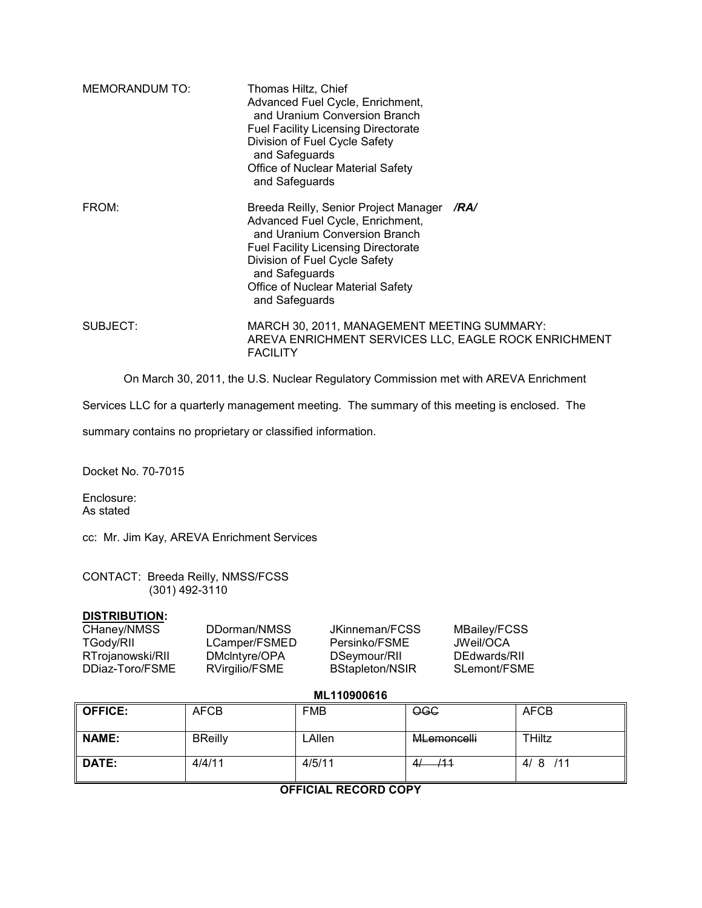| MEMORANDUM TO: | Thomas Hiltz, Chief<br>Advanced Fuel Cycle, Enrichment,<br>and Uranium Conversion Branch<br><b>Fuel Facility Licensing Directorate</b><br>Division of Fuel Cycle Safety<br>and Safeguards<br><b>Office of Nuclear Material Safety</b><br>and Safeguards            |      |
|----------------|--------------------------------------------------------------------------------------------------------------------------------------------------------------------------------------------------------------------------------------------------------------------|------|
| FROM:          | Breeda Reilly, Senior Project Manager<br>Advanced Fuel Cycle, Enrichment,<br>and Uranium Conversion Branch<br><b>Fuel Facility Licensing Directorate</b><br>Division of Fuel Cycle Safety<br>and Safeguards<br>Office of Nuclear Material Safety<br>and Safeguards | /RA/ |
| SUBJECT:       | MARCH 30, 2011, MANAGEMENT MEETING SUMMARY:<br>AREVA ENRICHMENT SERVICES LLC, EAGLE ROCK ENRICHMENT<br><b>FACILITY</b>                                                                                                                                             |      |

On March 30, 2011, the U.S. Nuclear Regulatory Commission met with AREVA Enrichment

Services LLC for a quarterly management meeting. The summary of this meeting is enclosed. The

summary contains no proprietary or classified information.

Docket No. 70-7015

Enclosure: As stated

cc: Mr. Jim Kay, AREVA Enrichment Services

CONTACT: Breeda Reilly, NMSS/FCSS (301) 492-3110

#### **DISTRIBUTION:**

| CHaney/NMSS      | DDorman/NMSS   | JKinneman/FCSS         | MBailey/FCSS |
|------------------|----------------|------------------------|--------------|
| I Gody/RII       | LCamper/FSMED  | Persinko/FSME          | JWeil/OCA    |
| RTrojanowski/RII | DMcIntyre/OPA  | DSeymour/RII           | DEdwards/RII |
| DDiaz-Toro/FSME  | RVirgilio/FSME | <b>BStapleton/NSIR</b> | SLemont/FSME |

## **ML110900616**

| <b>OFFICE:</b> | <b>AFCB</b>    | <b>FMB</b> | <b>OGC</b>         | <b>AFCB</b>   |
|----------------|----------------|------------|--------------------|---------------|
| NAME:          | <b>BReilly</b> | LAllen     | MLemoncelli        | <b>THiltz</b> |
| DATE:          | 4/4/11         | 4/5/11     | /11<br>$\Lambda$ / | 4/8/11        |

### **OFFICIAL RECORD COPY**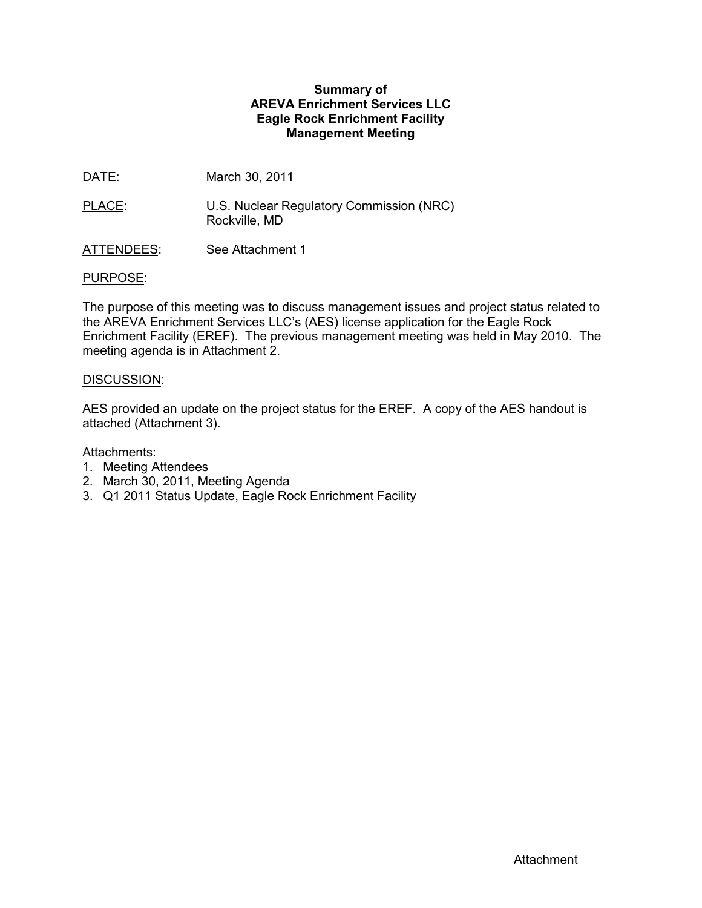# **Summary of AREVA Enrichment Services LLC Eagle Rock Enrichment Facility Management Meeting**

- DATE: March 30, 2011
- PLACE: U.S. Nuclear Regulatory Commission (NRC) Rockville, MD
- ATTENDEES: See Attachment 1

## PURPOSE:

The purpose of this meeting was to discuss management issues and project status related to the AREVA Enrichment Services LLC's (AES) license application for the Eagle Rock Enrichment Facility (EREF). The previous management meeting was held in May 2010. The meeting agenda is in Attachment 2.

## DISCUSSION:

AES provided an update on the project status for the EREF. A copy of the AES handout is attached (Attachment 3).

## Attachments:

- 1. Meeting Attendees
- 2. March 30, 2011, Meeting Agenda
- 3. Q1 2011 Status Update, Eagle Rock Enrichment Facility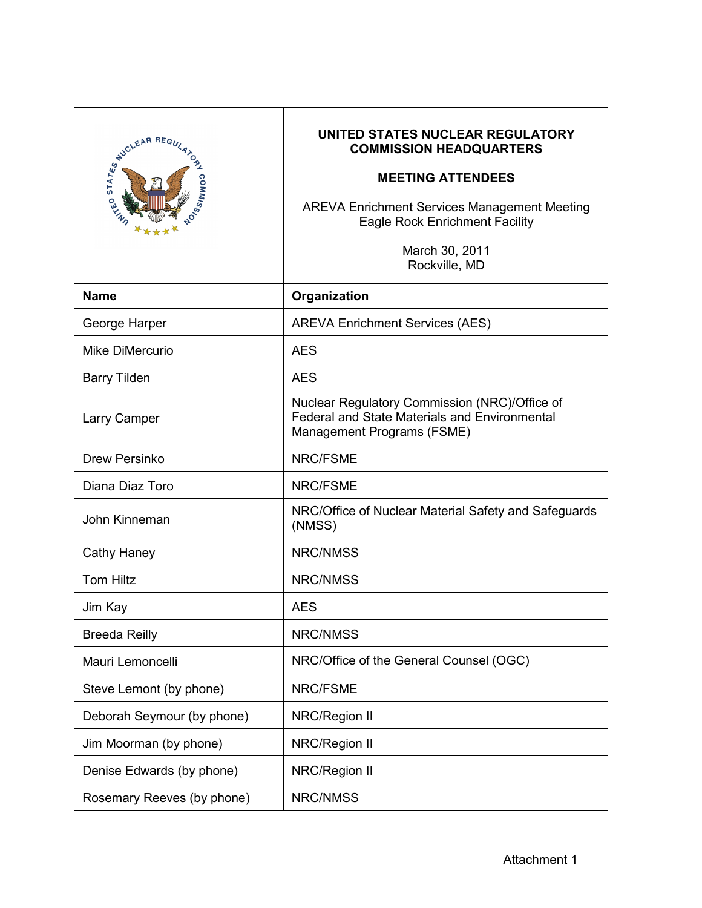| FUCLEAR REGULATION         | UNITED STATES NUCLEAR REGULATORY<br><b>COMMISSION HEADQUARTERS</b><br><b>MEETING ATTENDEES</b><br><b>AREVA Enrichment Services Management Meeting</b><br><b>Eagle Rock Enrichment Facility</b><br>March 30, 2011<br>Rockville, MD |
|----------------------------|-----------------------------------------------------------------------------------------------------------------------------------------------------------------------------------------------------------------------------------|
| <b>Name</b>                | Organization                                                                                                                                                                                                                      |
| George Harper              | <b>AREVA Enrichment Services (AES)</b>                                                                                                                                                                                            |
| Mike DiMercurio            | <b>AES</b>                                                                                                                                                                                                                        |
| <b>Barry Tilden</b>        | <b>AES</b>                                                                                                                                                                                                                        |
| Larry Camper               | Nuclear Regulatory Commission (NRC)/Office of<br><b>Federal and State Materials and Environmental</b><br>Management Programs (FSME)                                                                                               |
| Drew Persinko              | <b>NRC/FSME</b>                                                                                                                                                                                                                   |
| Diana Diaz Toro            | <b>NRC/FSME</b>                                                                                                                                                                                                                   |
| John Kinneman              | NRC/Office of Nuclear Material Safety and Safeguards<br>(NMSS)                                                                                                                                                                    |
| Cathy Haney                | <b>NRC/NMSS</b>                                                                                                                                                                                                                   |
| <b>Tom Hiltz</b>           | <b>NRC/NMSS</b>                                                                                                                                                                                                                   |
| Jim Kay                    | <b>AES</b>                                                                                                                                                                                                                        |
| <b>Breeda Reilly</b>       | <b>NRC/NMSS</b>                                                                                                                                                                                                                   |
| Mauri Lemoncelli           | NRC/Office of the General Counsel (OGC)                                                                                                                                                                                           |
| Steve Lemont (by phone)    | NRC/FSME                                                                                                                                                                                                                          |
| Deborah Seymour (by phone) | NRC/Region II                                                                                                                                                                                                                     |
| Jim Moorman (by phone)     | NRC/Region II                                                                                                                                                                                                                     |
| Denise Edwards (by phone)  | NRC/Region II                                                                                                                                                                                                                     |
| Rosemary Reeves (by phone) | NRC/NMSS                                                                                                                                                                                                                          |